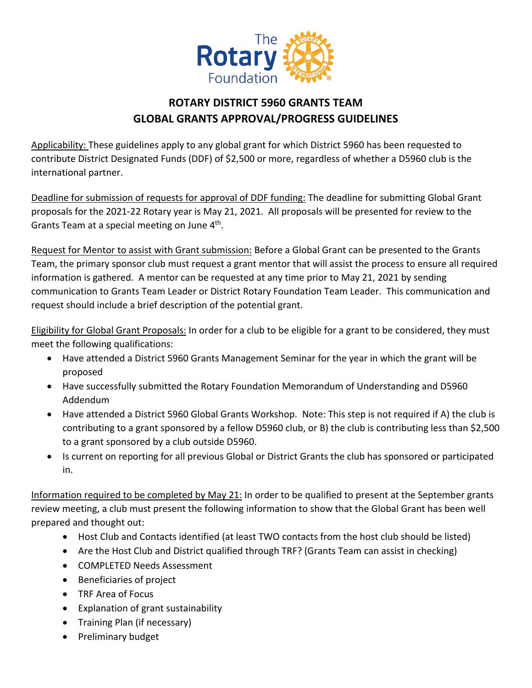

## **ROTARY DISTRICT 5960 GRANTS TEAM GLOBAL GRANTS APPROVAL/PROGRESS GUIDELINES**

Applicability: These guidelines apply to any global grant for which District 5960 has been requested to contribute District Designated Funds (DDF) of \$2,500 or more, regardless of whether a D5960 club is the international partner.

Deadline for submission of requests for approval of DDF funding: The deadline for submitting Global Grant proposals for the 2021-22 Rotary year is May 21, 2021. All proposals will be presented for review to the Grants Team at a special meeting on June 4<sup>th</sup>.

Request for Mentor to assist with Grant submission: Before a Global Grant can be presented to the Grants Team, the primary sponsor club must request a grant mentor that will assist the process to ensure all required information is gathered. A mentor can be requested at any time prior to May 21, 2021 by sending communication to Grants Team Leader or District Rotary Foundation Team Leader. This communication and request should include a brief description of the potential grant.

Eligibility for Global Grant Proposals: In order for a club to be eligible for a grant to be considered, they must meet the following qualifications:

- Have attended a District 5960 Grants Management Seminar for the year in which the grant will be proposed
- Have successfully submitted the Rotary Foundation Memorandum of Understanding and D5960 Addendum
- Have attended a District 5960 Global Grants Workshop. Note: This step is not required if A) the club is contributing to a grant sponsored by a fellow D5960 club, or B) the club is contributing less than \$2,500 to a grant sponsored by a club outside D5960.
- Is current on reporting for all previous Global or District Grants the club has sponsored or participated in.

Information required to be completed by May 21: In order to be qualified to present at the September grants review meeting, a club must present the following information to show that the Global Grant has been well prepared and thought out:

- Host Club and Contacts identified (at least TWO contacts from the host club should be listed)
- Are the Host Club and District qualified through TRF? (Grants Team can assist in checking)
- COMPLETED Needs Assessment
- Beneficiaries of project
- TRF Area of Focus
- Explanation of grant sustainability
- Training Plan (if necessary)
- Preliminary budget